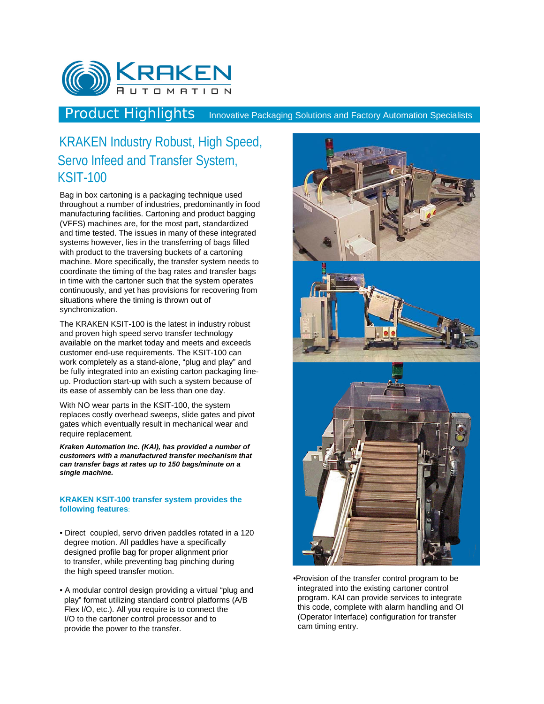

Product Highlights Innovative Packaging Solutions and Factory Automation Specialists

# KRAKEN Industry Robust, High Speed, Servo Infeed and Transfer System, KSIT-100

Bag in box cartoning is a packaging technique used throughout a number of industries, predominantly in food manufacturing facilities. Cartoning and product bagging (VFFS) machines are, for the most part, standardized and time tested. The issues in many of these integrated systems however, lies in the transferring of bags filled with product to the traversing buckets of a cartoning machine. More specifically, the transfer system needs to coordinate the timing of the bag rates and transfer bags in time with the cartoner such that the system operates continuously, and yet has provisions for recovering from situations where the timing is thrown out of synchronization.

The KRAKEN KSIT-100 is the latest in industry robust and proven high speed servo transfer technology available on the market today and meets and exceeds customer end-use requirements. The KSIT-100 can work completely as a stand-alone, "plug and play" and be fully integrated into an existing carton packaging lineup. Production start-up with such a system because of its ease of assembly can be less than one day.

With NO wear parts in the KSIT-100, the system replaces costly overhead sweeps, slide gates and pivot gates which eventually result in mechanical wear and require replacement.

*Kraken Automation Inc. (KAI), has provided a number of customers with a manufactured transfer mechanism that can transfer bags at rates up to 150 bags/minute on a single machine.*

#### **KRAKEN KSIT-100 transfer system provides the following features**:

- Direct coupled, servo driven paddles rotated in a 120 degree motion. All paddles have a specifically designed profile bag for proper alignment prior to transfer, while preventing bag pinching during the high speed transfer motion.
- A modular control design providing a virtual "plug and play" format utilizing standard control platforms (A/B Flex I/O, etc.). All you require is to connect the I/O to the cartoner control processor and to provide the power to the transfer.



•Provision of the transfer control program to be integrated into the existing cartoner control program. KAI can provide services to integrate this code, complete with alarm handling and OI (Operator Interface) configuration for transfer cam timing entry.